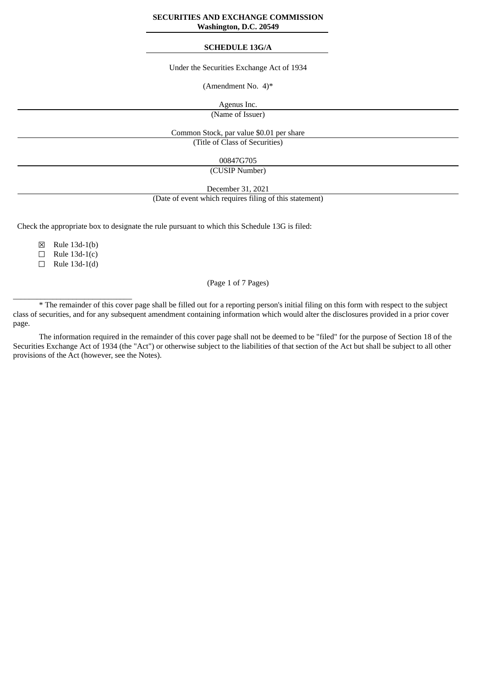#### **SECURITIES AND EXCHANGE COMMISSION Washington, D.C. 20549**

#### **SCHEDULE 13G/A**

### Under the Securities Exchange Act of 1934

(Amendment No. 4)\*

Agenus Inc.

(Name of Issuer)

Common Stock, par value \$0.01 per share

(Title of Class of Securities)

00847G705

(CUSIP Number)

December 31, 2021

(Date of event which requires filing of this statement)

Check the appropriate box to designate the rule pursuant to which this Schedule 13G is filed:

☒ Rule 13d-1(b)

 $\Box$  Rule 13d-1(c)

☐ Rule 13d-1(d)

 $\_$ 

(Page 1 of 7 Pages)

\* The remainder of this cover page shall be filled out for a reporting person's initial filing on this form with respect to the subject class of securities, and for any subsequent amendment containing information which would alter the disclosures provided in a prior cover page.

The information required in the remainder of this cover page shall not be deemed to be "filed" for the purpose of Section 18 of the Securities Exchange Act of 1934 (the "Act") or otherwise subject to the liabilities of that section of the Act but shall be subject to all other provisions of the Act (however, see the Notes).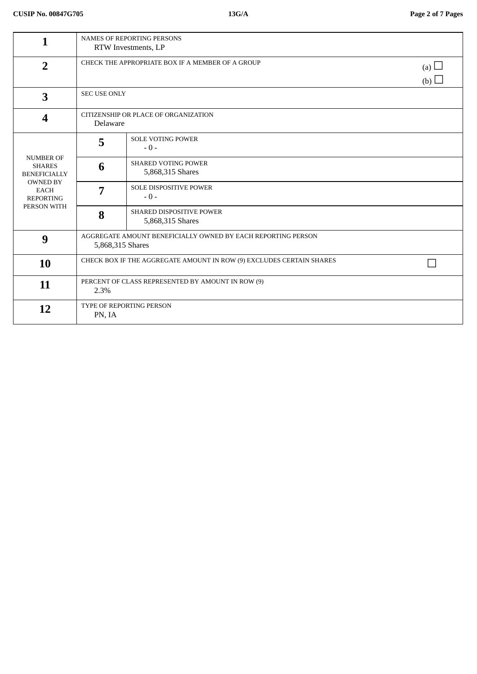| 1                                                                                                                             | <b>NAMES OF REPORTING PERSONS</b><br>RTW Investments, LP                         |                                                |                          |
|-------------------------------------------------------------------------------------------------------------------------------|----------------------------------------------------------------------------------|------------------------------------------------|--------------------------|
| $\overline{2}$                                                                                                                | CHECK THE APPROPRIATE BOX IF A MEMBER OF A GROUP                                 |                                                | (a) $\Box$<br>(b) $\Box$ |
| $\overline{\mathbf{3}}$                                                                                                       | <b>SEC USE ONLY</b>                                                              |                                                |                          |
| $\boldsymbol{4}$                                                                                                              | CITIZENSHIP OR PLACE OF ORGANIZATION<br>Delaware                                 |                                                |                          |
| <b>NUMBER OF</b><br><b>SHARES</b><br><b>BENEFICIALLY</b><br><b>OWNED BY</b><br><b>EACH</b><br><b>REPORTING</b><br>PERSON WITH | 5                                                                                | <b>SOLE VOTING POWER</b><br>$-0-$              |                          |
|                                                                                                                               | 6                                                                                | <b>SHARED VOTING POWER</b><br>5,868,315 Shares |                          |
|                                                                                                                               | 7                                                                                | <b>SOLE DISPOSITIVE POWER</b><br>$-0-$         |                          |
|                                                                                                                               | 8                                                                                | SHARED DISPOSITIVE POWER<br>5,868,315 Shares   |                          |
| 9                                                                                                                             | AGGREGATE AMOUNT BENEFICIALLY OWNED BY EACH REPORTING PERSON<br>5,868,315 Shares |                                                |                          |
| 10                                                                                                                            | CHECK BOX IF THE AGGREGATE AMOUNT IN ROW (9) EXCLUDES CERTAIN SHARES             |                                                |                          |
| 11                                                                                                                            | PERCENT OF CLASS REPRESENTED BY AMOUNT IN ROW (9)<br>2.3%                        |                                                |                          |
| 12                                                                                                                            | TYPE OF REPORTING PERSON<br>PN, IA                                               |                                                |                          |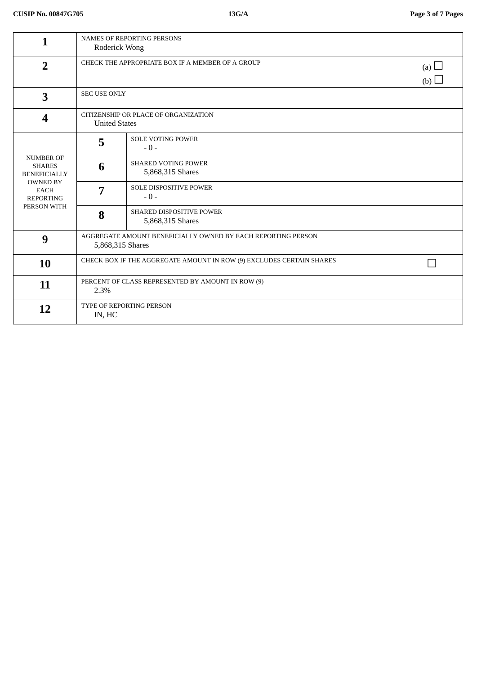| 1                                                                                                                             | <b>NAMES OF REPORTING PERSONS</b><br>Roderick Wong                               |                                                |                          |
|-------------------------------------------------------------------------------------------------------------------------------|----------------------------------------------------------------------------------|------------------------------------------------|--------------------------|
| $\overline{2}$                                                                                                                | CHECK THE APPROPRIATE BOX IF A MEMBER OF A GROUP                                 |                                                | (a) $\Box$<br>(b) $\Box$ |
| $\overline{\mathbf{3}}$                                                                                                       |                                                                                  | <b>SEC USE ONLY</b>                            |                          |
| $\boldsymbol{4}$                                                                                                              | CITIZENSHIP OR PLACE OF ORGANIZATION<br><b>United States</b>                     |                                                |                          |
| <b>NUMBER OF</b><br><b>SHARES</b><br><b>BENEFICIALLY</b><br><b>OWNED BY</b><br><b>EACH</b><br><b>REPORTING</b><br>PERSON WITH | 5                                                                                | <b>SOLE VOTING POWER</b><br>$-0-$              |                          |
|                                                                                                                               | 6                                                                                | <b>SHARED VOTING POWER</b><br>5,868,315 Shares |                          |
|                                                                                                                               | 7                                                                                | SOLE DISPOSITIVE POWER<br>$-0-$                |                          |
|                                                                                                                               | 8                                                                                | SHARED DISPOSITIVE POWER<br>5,868,315 Shares   |                          |
| 9                                                                                                                             | AGGREGATE AMOUNT BENEFICIALLY OWNED BY EACH REPORTING PERSON<br>5,868,315 Shares |                                                |                          |
| 10                                                                                                                            | CHECK BOX IF THE AGGREGATE AMOUNT IN ROW (9) EXCLUDES CERTAIN SHARES             |                                                |                          |
| 11                                                                                                                            | PERCENT OF CLASS REPRESENTED BY AMOUNT IN ROW (9)<br>2.3%                        |                                                |                          |
| 12                                                                                                                            | TYPE OF REPORTING PERSON<br>IN, HC                                               |                                                |                          |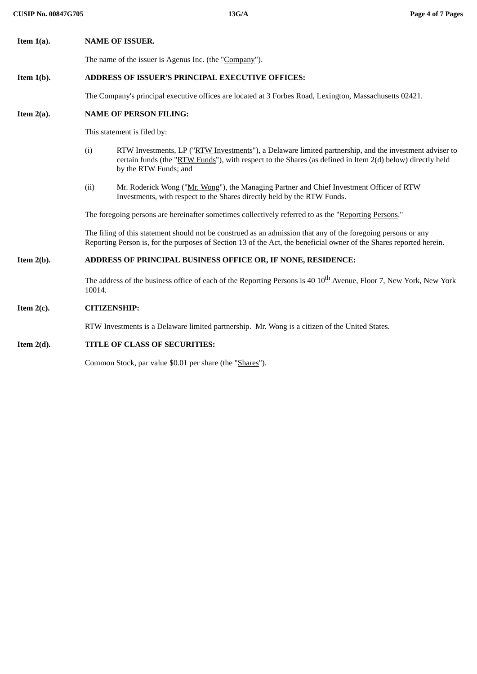**Item 1(a). NAME OF ISSUER.**

The name of the issuer is Agenus Inc. (the "Company").

# **Item 1(b). ADDRESS OF ISSUER'S PRINCIPAL EXECUTIVE OFFICES:**

The Company's principal executive offices are located at 3 Forbes Road, Lexington, Massachusetts 02421.

## **Item 2(a). NAME OF PERSON FILING:**

This statement is filed by:

- (i) RTW Investments, LP ("RTW Investments"), a Delaware limited partnership, and the investment adviser to certain funds (the "RTW Funds"), with respect to the Shares (as defined in Item 2(d) below) directly held by the RTW Funds; and
- (ii) Mr. Roderick Wong ("Mr. Wong"), the Managing Partner and Chief Investment Officer of RTW Investments, with respect to the Shares directly held by the RTW Funds.

The foregoing persons are hereinafter sometimes collectively referred to as the "Reporting Persons."

The filing of this statement should not be construed as an admission that any of the foregoing persons or any Reporting Person is, for the purposes of Section 13 of the Act, the beneficial owner of the Shares reported herein.

# **Item 2(b). ADDRESS OF PRINCIPAL BUSINESS OFFICE OR, IF NONE, RESIDENCE:**

The address of the business office of each of the Reporting Persons is 40  $10^{\rm th}$  Avenue, Floor 7, New York, New York 10014.

## **Item 2(c). CITIZENSHIP:**

RTW Investments is a Delaware limited partnership. Mr. Wong is a citizen of the United States.

# **Item 2(d). TITLE OF CLASS OF SECURITIES:**

Common Stock, par value \$0.01 per share (the "Shares").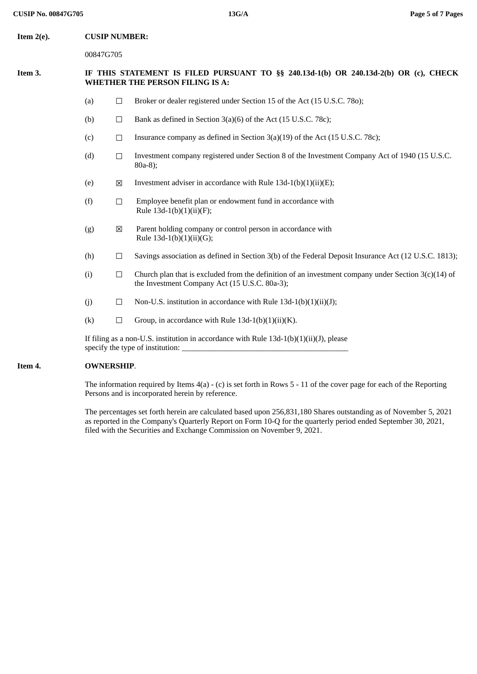### **Item 2(e). CUSIP NUMBER:**

00847G705

### **Item 3. IF THIS STATEMENT IS FILED PURSUANT TO §§ 240.13d-1(b) OR 240.13d-2(b) OR (c), CHECK WHETHER THE PERSON FILING IS A:**

- (a)  $\Box$  Broker or dealer registered under Section 15 of the Act (15 U.S.C. 780);
- (b)  $\Box$  Bank as defined in Section 3(a)(6) of the Act (15 U.S.C. 78c);
- (c)  $\Box$  Insurance company as defined in Section 3(a)(19) of the Act (15 U.S.C. 78c);
- (d) ☐ Investment company registered under Section 8 of the Investment Company Act of 1940 (15 U.S.C. 80a-8);
- (e)  $\boxtimes$  Investment adviser in accordance with Rule 13d-1(b)(1)(ii)(E);
- $(f)$   $\Box$  Employee benefit plan or endowment fund in accordance with Rule 13d-1(b)(1)(ii)(F);
- (g)  $\boxtimes$  Parent holding company or control person in accordance with Rule 13d-1(b)(1)(ii)(G);
- (h)  $\Box$  Savings association as defined in Section 3(b) of the Federal Deposit Insurance Act (12 U.S.C. 1813);
- (i)  $\Box$  Church plan that is excluded from the definition of an investment company under Section 3(c)(14) of the Investment Company Act (15 U.S.C. 80a-3);
- (j)  $\Box$  Non-U.S. institution in accordance with Rule 13d-1(b)(1)(ii)(J);
- (k)  $\Box$  Group, in accordance with Rule 13d-1(b)(1)(ii)(K).

If filing as a non-U.S. institution in accordance with Rule 13d-1(b)(1)(ii)(J), please specify the type of institution:

### **Item 4. OWNERSHIP**.

The information required by Items 4(a) - (c) is set forth in Rows 5 - 11 of the cover page for each of the Reporting Persons and is incorporated herein by reference.

The percentages set forth herein are calculated based upon 256,831,180 Shares outstanding as of November 5, 2021 as reported in the Company's Quarterly Report on Form 10-Q for the quarterly period ended September 30, 2021, filed with the Securities and Exchange Commission on November 9, 2021.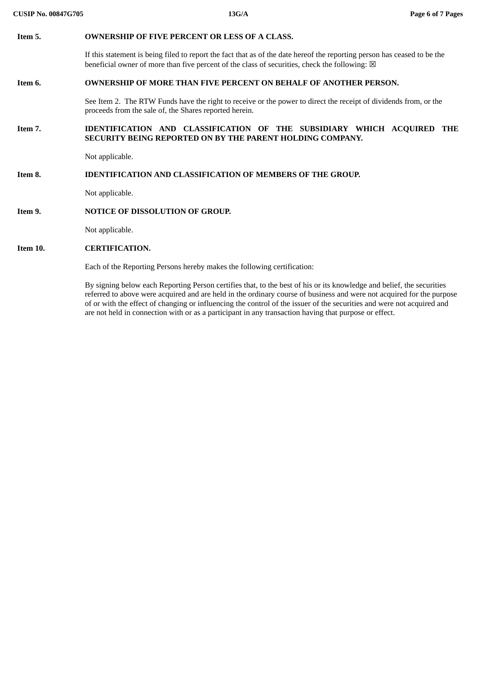| Item 5.  | <b>OWNERSHIP OF FIVE PERCENT OR LESS OF A CLASS.</b>                                                                                                                                                                                                                                                                                                                     |  |  |  |
|----------|--------------------------------------------------------------------------------------------------------------------------------------------------------------------------------------------------------------------------------------------------------------------------------------------------------------------------------------------------------------------------|--|--|--|
|          | If this statement is being filed to report the fact that as of the date hereof the reporting person has ceased to be the<br>beneficial owner of more than five percent of the class of securities, check the following: $\boxtimes$                                                                                                                                      |  |  |  |
| Item 6.  | <b>OWNERSHIP OF MORE THAN FIVE PERCENT ON BEHALF OF ANOTHER PERSON.</b>                                                                                                                                                                                                                                                                                                  |  |  |  |
|          | See Item 2. The RTW Funds have the right to receive or the power to direct the receipt of dividends from, or the<br>proceeds from the sale of, the Shares reported herein.                                                                                                                                                                                               |  |  |  |
| Item 7.  | IDENTIFICATION AND CLASSIFICATION OF THE SUBSIDIARY WHICH ACQUIRED THE<br>SECURITY BEING REPORTED ON BY THE PARENT HOLDING COMPANY.                                                                                                                                                                                                                                      |  |  |  |
|          | Not applicable.                                                                                                                                                                                                                                                                                                                                                          |  |  |  |
| Item 8.  | <b>IDENTIFICATION AND CLASSIFICATION OF MEMBERS OF THE GROUP.</b>                                                                                                                                                                                                                                                                                                        |  |  |  |
|          | Not applicable.                                                                                                                                                                                                                                                                                                                                                          |  |  |  |
| Item 9.  | <b>NOTICE OF DISSOLUTION OF GROUP.</b>                                                                                                                                                                                                                                                                                                                                   |  |  |  |
|          | Not applicable.                                                                                                                                                                                                                                                                                                                                                          |  |  |  |
| Item 10. | <b>CERTIFICATION.</b>                                                                                                                                                                                                                                                                                                                                                    |  |  |  |
|          | Each of the Reporting Persons hereby makes the following certification:                                                                                                                                                                                                                                                                                                  |  |  |  |
|          | By signing below each Reporting Person certifies that, to the best of his or its knowledge and belief, the securities<br>referred to above were acquired and are held in the ordinary course of business and were not acquired for the purpose<br>of or with the effect of changing or influencing the control of the issuer of the securities and were not acquired and |  |  |  |

are not held in connection with or as a participant in any transaction having that purpose or effect.